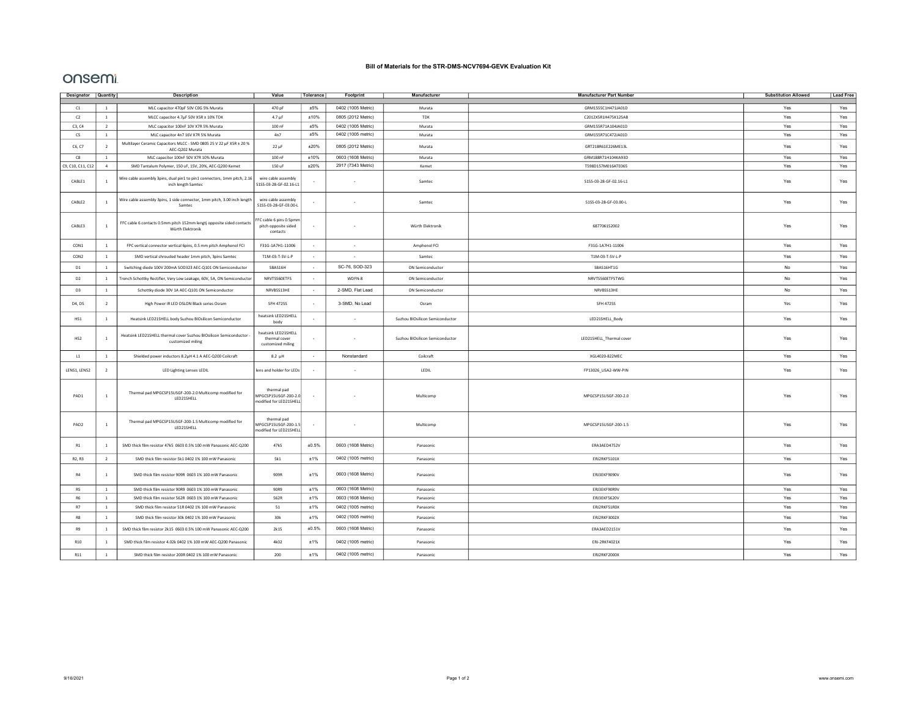## Bill of Materials for the STR-DMS-NCV7694-GEVK Evaluation Kit

## onsemt

| Designator Quantity |                | <b>Description</b>                                                                             | Value                                                          | Tolerance                | Footprint                | Manufacturer                    | <b>Manufacturer Part Number</b> | <b>Substitution Allowed</b> | <b>Lead Free</b> |
|---------------------|----------------|------------------------------------------------------------------------------------------------|----------------------------------------------------------------|--------------------------|--------------------------|---------------------------------|---------------------------------|-----------------------------|------------------|
| C1                  | $\mathbf{1}$   | MLC capacitor 470pF 50V C0G 5% Murata                                                          | 470 pF                                                         | ±5%                      | 0402 (1005 Metric)       | Murata                          | GRM1555C1H471JA01D              | Yes<br>Yes                  |                  |
| C2                  | $\mathbf{1}$   | MLCC capacitor 4.7µF 50V X5R ± 10% TDK                                                         | $4.7 \mu F$                                                    | $\pm 10\%$               | 0805 (2012 Metric)       | TDK                             | C2012X5R1H475K125AB             | Yes<br>Yes                  |                  |
| C3, C4              | $\overline{2}$ | MLC capacitor 100nF 10V X7R 5% Murata                                                          | 100 nF                                                         | ±5%                      | 0402 (1005 Metric)       | Murata                          | GRM155R71A104JA01D              | Yes                         |                  |
| C5                  | $\mathbf{1}$   | MLC capacitor 4n7 16V X7R 5% Murata                                                            | 4n7                                                            | ±5%                      | 0402 (1005 metric)       | Murata                          | GRM155R71C472JA01D              | Yes                         | Yes              |
| C6, C7              | $\overline{2}$ | Multilayer Ceramic Capacitors MLCC - SMD 0805 25 V 22 µF X5R ± 20 %<br>AEC-Q202 Murata         | $22 \mu F$                                                     | ±20%                     | 0805 (2012 Metric)       | Murata                          | GRT21BR61E226ME13L              | Yes                         | Yes              |
| C8                  | <sup>1</sup>   | MLC capacitor 100nF 50V X7R 10% Murata                                                         | 100 nF                                                         | ±10%                     | 0603 (1608 Metric)       | Murata                          | GRM188R71H104KA93D              | Yes                         | Yes              |
| C9, C10, C11, C12   | $\sqrt{4}$     | SMD Tantalum Polymer, 150 uF, 15V, 20%, AEC-Q200 Kemet                                         | 150 uF                                                         | ±20%                     | 2917 (7343 Metric)       | Kemet                           | T598D157M016ATE065              | Yes                         | Yes              |
| CABLE1              | $1\,$          | Wire cable assembly 3pins, dual pin1 to pin1 connectors, 1mm pitch, 2.16<br>inch length Samtec | wire cable assembly<br>S1SS-03-28-GF-02.16-L1                  |                          |                          | Samtec                          | S1SS-03-28-GF-02.16-L1          | Yes                         | Yes              |
| CABLE <sub>2</sub>  | $1\,$          | Wire cable assembly 3pins, 1 side connector, 1mm pitch, 3.00 inch length<br>Samtec             | wire cable assembly<br>S1SS-03-28-GF-03.00-L                   |                          |                          | Samtec                          | S1SS-03-28-GF-03.00-L           | Yes                         | Yes              |
| CABLE3              | $\,$ 1         | FFC cable 6 contacts 0.5mm pitch 152mm lengtj opposite sided contacts<br>Würth Elektronik      | FFC cable 6 pins 0.5pmm<br>pitch opposite sided<br>contacts    |                          |                          | Würth Elektronik                | 687706152002                    | Yes                         | Yes              |
| CON1                | $\mathbf{1}$   | FPC vertical connector vertical 6pins, 0.5 mm pitch Amphenol FCI                               | F31G-1A7H1-11006                                               | $\sim$                   | $\sim$                   | Amphenol FCI                    | F31G-1A7H1-11006                | Yes                         | Yes              |
| CON <sub>2</sub>    | $\mathbf{1}$   | SMD vertical shrouded header 1mm pitch, 3pins Samtec                                           | T1M-03-T-SV-L-P                                                | $\sim$                   | $\sim$                   | Samtec                          | T1M-03-T-SV-L-P                 | Yes                         | Yes              |
| D1                  | $\mathbf{1}$   | Switching diode 100V 200mA SOD323 AEC-Q101 ON Semiconductor                                    | SBAS16H                                                        | $\sim$                   | SC-76, SOD-323           | ON Semiconductor                | SBAS16HT1G                      | No                          | Yes              |
| D2                  | $1\,$          | Trench Schottky Rectifier, Very Low Leakage, 60V, 5A, ON Semiconductor                         | NRVTS560ETFS                                                   | $\sim$                   | WDFN-8                   | ON Semiconductor                | NRVTS560ETFSTWG                 | No                          | Yes              |
| D <sub>3</sub>      | $\mathbf{1}$   | Schottky diode 30V 1A AEC-Q101 ON Semiconductor                                                | NRVBSS13HE                                                     | $\sim$                   | 2-SMD, Flat Lead         | ON Semiconductor                | NRVBSS13HE                      | No                          | Yes              |
| D4, D5              | $\overline{2}$ | High Power IR LED OSLON Black series Osram                                                     | <b>SFH 4725S</b>                                               | $\overline{\phantom{a}}$ | 3-SMD, No Lead           | Osram                           | <b>SFH 4725S</b>                | Yes                         | Yes              |
| HS1                 | $\mathbf{1}$   | Heatsink LED21SHELL body Suzhou BIOsilicon Semiconductor                                       | heatsink LED21SHELL<br>body                                    |                          |                          | Suzhou BIOsilicon Semiconductor | LED21SHELL_Body                 | Yes                         | Yes              |
| HS2                 | $\mathbf{1}$   | Heatsink LED21SHELL thermal cover Suzhou BIOsilicon Semiconductor<br>customized miling         | heatsink LED21SHELL<br>thermal cover<br>customized miling      | $\sim$                   | $\overline{\phantom{a}}$ | Suzhou BIOsilicon Semiconductor | LED21SHELL_Thermal cover        | Yes                         | Yes              |
| L1                  | $\mathbf{1}$   | Shielded power inductors 8.2µH 4.1 A AEC-Q200 Coilcraft                                        | $8.2 \mu H$                                                    | $\sim$                   | Nonstandard              | Coilcraft                       | XGL4020-822MEC                  | Yes                         | Yes              |
| LENS1, LENS2        | $\overline{2}$ | LED Lighting Lenses LEDIL                                                                      | lens and holder for LEDs                                       |                          |                          | LEDIL                           | FP13026_LISA2-WW-PIN            | Yes                         | Yes              |
| PAD1                | $1\,$          | Thermal pad MPGCSP15USGF-200-2.0 Multicomp modified for<br>LED21SHELL                          | thermal pad<br>MPGCSP15USGF-200-2.0<br>modified for LED21SHELL |                          |                          | Multicomp                       | MPGCSP15USGF-200-2.0            | Yes                         | Yes              |
| PAD <sub>2</sub>    | $\mathbf{1}$   | Thermal pad MPGCSP15USGF-200-1.5 Multicomp modified for<br>LED21SHELL                          | thermal pad<br>MPGCSP15USGF-200-1.5<br>modified for LED21SHELL |                          | $\overline{\phantom{a}}$ | Multicomp                       | MPGCSP15USGF-200-1.5            | Yes                         |                  |
| R1                  | $\overline{1}$ | SMD thick film resistor 47k5 0603 0.5% 100 mW Panasonic AEC-Q200                               | 47k5                                                           | ±0.5%                    | 0603 (1608 Metric)       | Panasonic                       | ERA3AED4752V                    | Yes                         | Yes              |
| R2, R3              | $\overline{2}$ | SMD thick film resistor 5k1 0402 1% 100 mW Panasonic                                           | 5k1                                                            | ±1%                      | 0402 (1005 metric)       | Panasonic                       | ERJ2RKF5101X                    | Yes                         | Yes              |
| R4                  | $\overline{1}$ | SMD thick film resistor 909R 0603 1% 100 mW Panasonic                                          | 909R                                                           | ±1%                      | 0603 (1608 Metric)       | Panasonic                       | ERJ3EKF9090V                    | Yes                         | Yes              |
| R5                  | <sup>1</sup>   | SMD thick film resistor 90R9 0603 1% 100 mW Panasonic                                          | 90R9                                                           | ±1%                      | 0603 (1608 Metric)       | Panasonic                       | ERJ3EKF90R9V                    | Yes                         | Yes              |
| R6                  | $\mathbf{1}$   | SMD thick film resistor 562R 0603 1% 100 mW Panasonic                                          | 562R                                                           | ±1%                      | 0603 (1608 Metric)       | Panasonic                       | ERJ3EKF5620V                    | Yes                         | Yes              |
| <b>R7</b>           | $\mathbf{1}$   | SMD thick film resistor 51R 0402 1% 100 mW Panasonic                                           | 51                                                             | ±1%                      | 0402 (1005 metric)       | Panasonic                       | ERJ2RKF51R0X                    | Yes                         | Yes              |
| R8                  | $\overline{1}$ | SMD thick film resistor 30k 0402 1% 100 mW Panasonic                                           | 30k                                                            | ±1%                      | 0402 (1005 metric)       | Panasonic                       | ERJ2RKF3002X                    | Yes                         | Yes              |
| R9                  | $\mathbf{1}$   | SMD thick film resistor 2k15 0603 0.5% 100 mW Panasonic AEC-Q200                               | 2k15                                                           | ±0.5%                    | 0603 (1608 Metric)       | Panasonic                       | ERA3AED2151V                    | Yes                         | Yes              |
| R10                 | $\mathbf{1}$   | SMD thick film resistor 4.02k 0402 1% 100 mW AEC-Q200 Panasonic                                | 4k02                                                           | ±1%                      | 0402 (1005 metric)       | Panasonic                       | ERJ-2RKF4021X                   | Yes                         | Yes              |
| R11                 | $1\,$          | SMD thick film resistor 200R 0402 1% 100 mW Panasonic                                          | 200                                                            | ±1%                      | 0402 (1005 metric)       | Panasonic                       | ERJ2RKF2000X                    | Yes                         | Yes              |